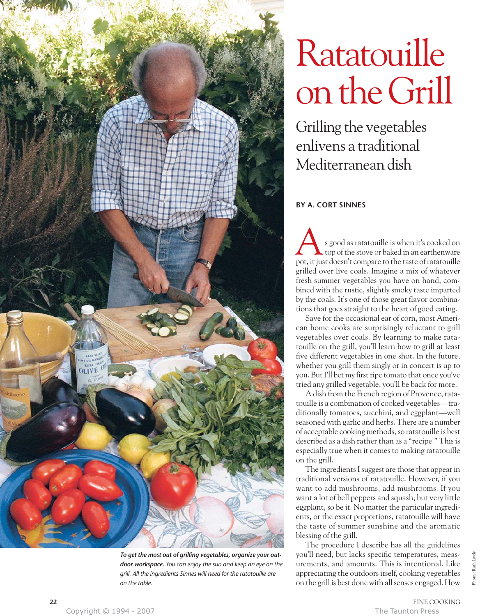

*To get the most out of grilling vegetables, organize your outdoor workspace. You can enjoy the sun and keep an eye on the grill. All the ingredients Sinnes will need for the ratatouille are on the table.*

## Ratatouille on the Grill

Grilling the vegetables enlivens a traditional Mediterranean dish

## **BY A. CORT SINNES**

s good as ratatouille is when it's cooked on top of the stove or baked in an earthenware s good as ratatouille is when it's cooked on<br>top of the stove or baked in an earthenware<br>pot, it just doesn't compare to the taste of ratatouille grilled over live coals. Imagine a mix of whatever fresh summer vegetables you have on hand, combined with the rustic, slightly smoky taste imparted by the coals. It's one of those great flavor combinations that goes straight to the heart of good eating.

Save for the occasional ear of corn, most American home cooks are surprisingly reluctant to grill vegetables over coals. By learning to make ratatouille on the grill, you'll learn how to grill at least five different vegetables in one shot. In the future, whether you grill them singly or in concert is up to you. But I'll bet my first ripe tomato that once you've tried any grilled vegetable, you'll be back for more.

A dish from the French region of Provence, ratatouille is a combination of cooked vegetables—traditionally tomatoes, zucchini, and eggplant—well seasoned with garlic and herbs. There are a number of acceptable cooking methods, so ratatouille is best described as a dish rather than as a "recipe." This is especially true when it comes to making ratatouille on the grill.

The ingredients I suggest are those that appear in traditional versions of ratatouille. However, if you want to add mushrooms, add mushrooms. If you want a lot of bell peppers and squash, but very little eggplant, so be it. No matter the particular ingredients, or the exact proportions, ratatouille will have the taste of summer sunshine and the aromatic blessing of the grill.

The procedure I describe has all the guidelines you'll need, but lacks specific temperatures, measurements, and amounts. This is intentional. Like appreciating the outdoors itself, cooking vegetables on the grill is best done with all senses engaged. How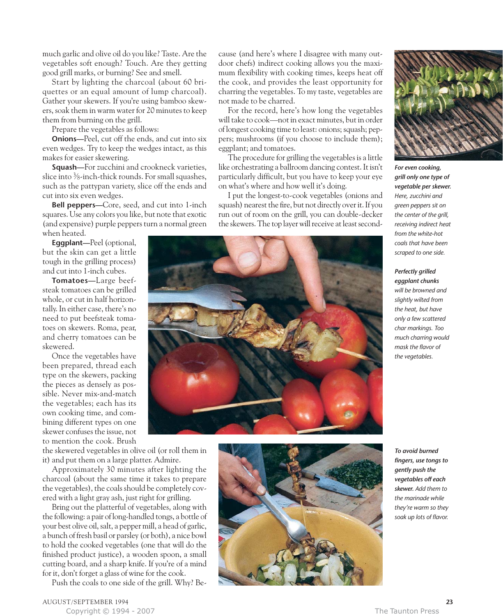much garlic and olive oil do you like? Taste. Are the vegetables soft enough? Touch. Are they getting good grill marks, or burning? See and smell.

Start by lighting the charcoal (about 60 briquettes or an equal amount of lump charcoal). Gather your skewers. If you're using bamboo skewers, soak them in warm water for 20 minutes to keep them from burning on the grill.

Prepare the vegetables as follows:

**Onions—**Peel, cut off the ends, and cut into six even wedges. Try to keep the wedges intact, as this makes for easier skewering.

**Squash—**For zucchini and crookneck varieties, slice into  $\frac{3}{8}$ -inch-thick rounds. For small squashes, such as the pattypan variety, slice off the ends and cut into six even wedges.

**Bell peppers—**Core, seed, and cut into 1-inch squares. Use any colors you like, but note that exotic (and expensive) purple peppers turn a normal green when heated.

**Eggplant—**Peel (optional, but the skin can get a little tough in the grilling process) and cut into 1-inch cubes.

**Tomatoes—**Large beefsteak tomatoes can be grilled whole, or cut in half horizontally. In either case, there's no need to put beefsteak tomatoes on skewers. Roma, pear, and cherry tomatoes can be skewered.

Once the vegetables have been prepared, thread each type on the skewers, packing the pieces as densely as possible. Never mix-and-match the vegetables; each has its own cooking time, and combining different types on one skewer confuses the issue, not to mention the cook. Brush

the skewered vegetables in olive oil (or roll them in it) and put them on a large platter. Admire.

Approximately 30 minutes after lighting the charcoal (about the same time it takes to prepare the vegetables), the coals should be completely covered with a light gray ash, just right for grilling.

Bring out the platterful of vegetables, along with the following: a pair of long-handled tongs, a bottle of your best olive oil, salt, a pepper mill, a head of garlic, a bunch of fresh basil or parsley (or both), a nice bowl to hold the cooked vegetables (one that will do the finished product justice), a wooden spoon, a small cutting board, and a sharp knife. If you're of a mind for it, don't forget a glass of wine for the cook.

Push the coals to one side of the grill. Why? Be-

cause (and here's where I disagree with many outdoor chefs) indirect cooking allows you the maximum flexibility with cooking times, keeps heat off the cook, and provides the least opportunity for charring the vegetables. To my taste, vegetables are not made to be charred.

For the record, here's how long the vegetables will take to cook—not in exact minutes, but in order of longest cooking time to least: onions; squash; peppers; mushrooms (if you choose to include them); eggplant; and tomatoes.

The procedure for grilling the vegetables is a little like orchestrating a ballroom dancing contest. It isn't particularly difficult, but you have to keep your eye on what's where and how well it's doing.

I put the longest-to-cook vegetables (onions and squash) nearest the fire, but not directly over it. If you run out of room on the grill, you can double-decker the skewers. The top layer will receive at least second-







*For even cooking, grill only one type of vegetable per skewer. Here, zucchini and green peppers sit on the center of the grill, receiving indirect heat from the white-hot coals that have been scraped to one side.*

*Perfectly grilled eggplant chunks will be browned and slightly wilted from the heat, but have only a few scattered char markings. Too much charring would mask the flavor of the vegetables.*

*To avoid burned fingers, use tongs to gently push the vegetables off each skewer. Add them to the marinade while they're warm so they soak up lots of flavor.*